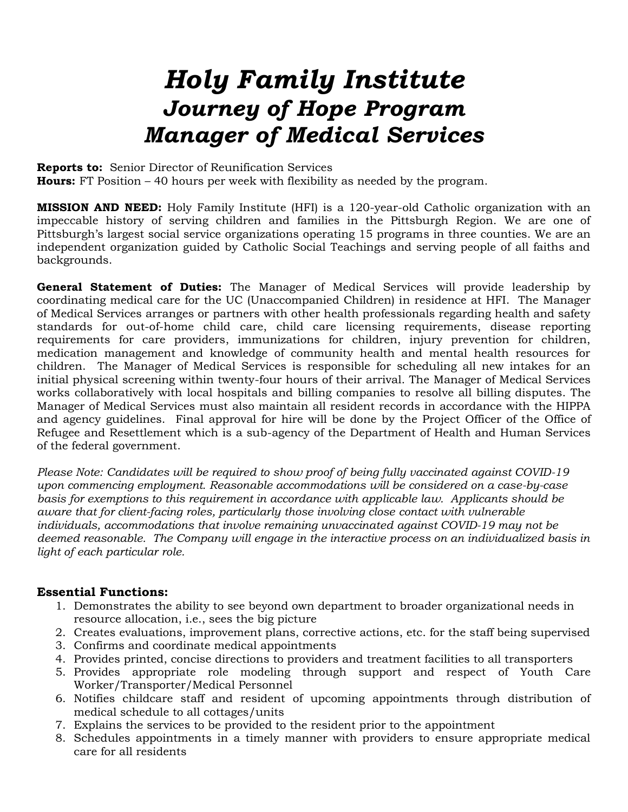# *Holy Family Institute Journey of Hope Program Manager of Medical Services*

**Reports to:** Senior Director of Reunification Services

**Hours:** FT Position – 40 hours per week with flexibility as needed by the program.

**MISSION AND NEED:** Holy Family Institute (HFI) is a 120-year-old Catholic organization with an impeccable history of serving children and families in the Pittsburgh Region. We are one of Pittsburgh's largest social service organizations operating 15 programs in three counties. We are an independent organization guided by Catholic Social Teachings and serving people of all faiths and backgrounds.

**General Statement of Duties:** The Manager of Medical Services will provide leadership by coordinating medical care for the UC (Unaccompanied Children) in residence at HFI. The Manager of Medical Services arranges or partners with other health professionals regarding health and safety standards for out-of-home child care, child care licensing requirements, disease reporting requirements for care providers, immunizations for children, injury prevention for children, medication management and knowledge of community health and mental health resources for children. The Manager of Medical Services is responsible for scheduling all new intakes for an initial physical screening within twenty-four hours of their arrival. The Manager of Medical Services works collaboratively with local hospitals and billing companies to resolve all billing disputes. The Manager of Medical Services must also maintain all resident records in accordance with the HIPPA and agency guidelines. Final approval for hire will be done by the Project Officer of the Office of Refugee and Resettlement which is a sub-agency of the Department of Health and Human Services of the federal government.

*Please Note: Candidates will be required to show proof of being fully vaccinated against COVID-19 upon commencing employment. Reasonable accommodations will be considered on a case-by-case basis for exemptions to this requirement in accordance with applicable law. Applicants should be aware that for client-facing roles, particularly those involving close contact with vulnerable individuals, accommodations that involve remaining unvaccinated against COVID-19 may not be deemed reasonable. The Company will engage in the interactive process on an individualized basis in light of each particular role.*

## **Essential Functions:**

- 1. Demonstrates the ability to see beyond own department to broader organizational needs in resource allocation, i.e., sees the big picture
- 2. Creates evaluations, improvement plans, corrective actions, etc. for the staff being supervised
- 3. Confirms and coordinate medical appointments
- 4. Provides printed, concise directions to providers and treatment facilities to all transporters
- 5. Provides appropriate role modeling through support and respect of Youth Care Worker/Transporter/Medical Personnel
- 6. Notifies childcare staff and resident of upcoming appointments through distribution of medical schedule to all cottages/units
- 7. Explains the services to be provided to the resident prior to the appointment
- 8. Schedules appointments in a timely manner with providers to ensure appropriate medical care for all residents